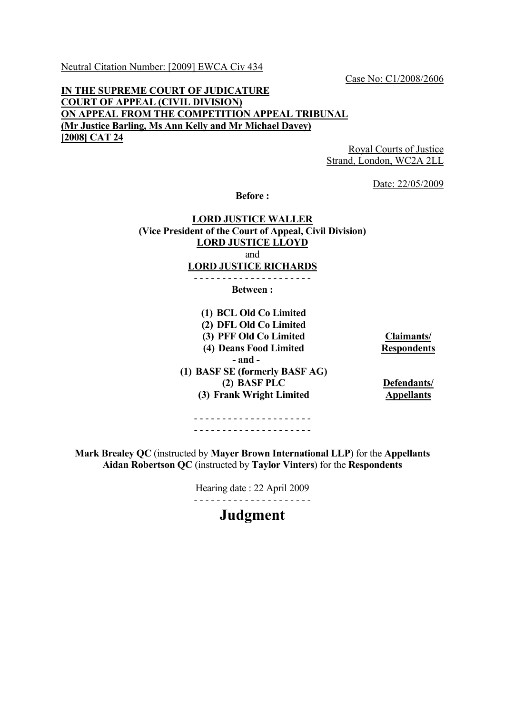Neutral Citation Number: [2009] EWCA Civ 434

Case No: C1/2008/2606

# **IN THE SUPREME COURT OF JUDICATURE COURT OF APPEAL (CIVIL DIVISION) ON APPEAL FROM THE COMPETITION APPEAL TRIBUNAL (Mr Justice Barling, Ms Ann Kelly and Mr Michael Davey) [2008] CAT 24**

Royal Courts of Justice Strand, London, WC2A 2LL

Date: 22/05/2009

**Before :** 

# **LORD JUSTICE WALLER (Vice President of the Court of Appeal, Civil Division) LORD JUSTICE LLOYD** and **LORD JUSTICE RICHARDS** - - - - - - - - - - - - - - - - - - - - -

**Between :** 

| (1) BCL Old Co Limited         |                    |
|--------------------------------|--------------------|
| (2) DFL Old Co Limited         |                    |
| (3) PFF Old Co Limited         | Claimants/         |
| (4) Deans Food Limited         | <b>Respondents</b> |
| $-$ and $-$                    |                    |
| (1) BASF SE (formerly BASF AG) |                    |
| (2) BASF PLC                   | Defendants/        |
| (3) Frank Wright Limited       | <b>Appellants</b>  |
|                                |                    |

- - - - - - - - - - - - - - - - - - - - - - - - - - - - - - - - - - - - - - - - - -

**Mark Brealey QC** (instructed by **Mayer Brown International LLP**) for the **Appellants Aidan Robertson QC** (instructed by **Taylor Vinters**) for the **Respondents**

> Hearing date : 22 April 2009 - - - - - - - - - - - - - - - - - - - - -

> > **Judgment**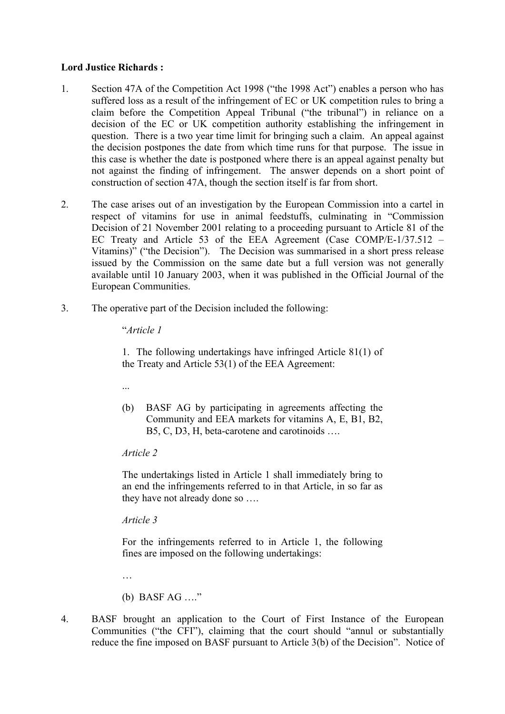### **Lord Justice Richards :**

- 1. Section 47A of the Competition Act 1998 ("the 1998 Act") enables a person who has suffered loss as a result of the infringement of EC or UK competition rules to bring a claim before the Competition Appeal Tribunal ("the tribunal") in reliance on a decision of the EC or UK competition authority establishing the infringement in question. There is a two year time limit for bringing such a claim. An appeal against the decision postpones the date from which time runs for that purpose. The issue in this case is whether the date is postponed where there is an appeal against penalty but not against the finding of infringement. The answer depends on a short point of construction of section 47A, though the section itself is far from short.
- 2. The case arises out of an investigation by the European Commission into a cartel in respect of vitamins for use in animal feedstuffs, culminating in "Commission Decision of 21 November 2001 relating to a proceeding pursuant to Article 81 of the EC Treaty and Article 53 of the EEA Agreement (Case COMP/E-1/37.512 – Vitamins)" ("the Decision"). The Decision was summarised in a short press release issued by the Commission on the same date but a full version was not generally available until 10 January 2003, when it was published in the Official Journal of the European Communities.
- 3. The operative part of the Decision included the following:

"*Article 1*

1. The following undertakings have infringed Article 81(1) of the Treaty and Article 53(1) of the EEA Agreement:

- ...
- (b) BASF AG by participating in agreements affecting the Community and EEA markets for vitamins A, E, B1, B2, B5, C, D3, H, beta-carotene and carotinoids ….

#### *Article 2*

The undertakings listed in Article 1 shall immediately bring to an end the infringements referred to in that Article, in so far as they have not already done so ….

*Article 3*

For the infringements referred to in Article 1, the following fines are imposed on the following undertakings:

…

(b) BASF AG …."

4. BASF brought an application to the Court of First Instance of the European Communities ("the CFI"), claiming that the court should "annul or substantially reduce the fine imposed on BASF pursuant to Article 3(b) of the Decision". Notice of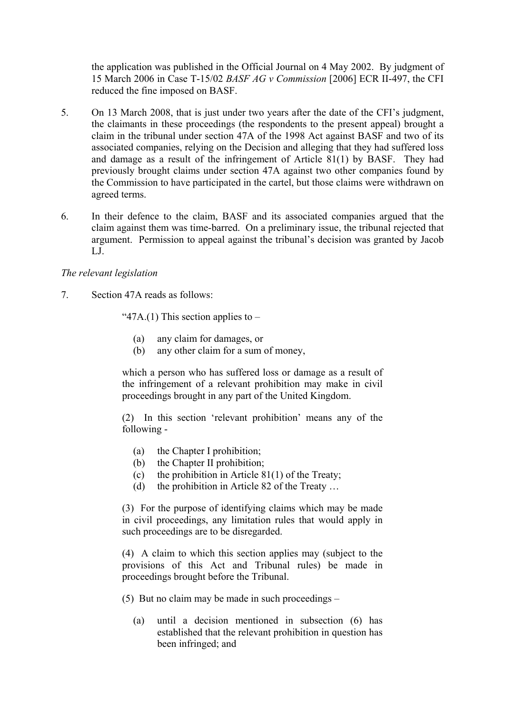the application was published in the Official Journal on 4 May 2002. By judgment of 15 March 2006 in Case T-15/02 *BASF AG v Commission* [2006] ECR II-497, the CFI reduced the fine imposed on BASF.

- 5. On 13 March 2008, that is just under two years after the date of the CFI's judgment, the claimants in these proceedings (the respondents to the present appeal) brought a claim in the tribunal under section 47A of the 1998 Act against BASF and two of its associated companies, relying on the Decision and alleging that they had suffered loss and damage as a result of the infringement of Article 81(1) by BASF. They had previously brought claims under section 47A against two other companies found by the Commission to have participated in the cartel, but those claims were withdrawn on agreed terms.
- 6. In their defence to the claim, BASF and its associated companies argued that the claim against them was time-barred. On a preliminary issue, the tribunal rejected that argument. Permission to appeal against the tribunal's decision was granted by Jacob LJ.

### *The relevant legislation*

7. Section 47A reads as follows:

"47A.(1) This section applies to  $-$ 

- (a) any claim for damages, or
- (b) any other claim for a sum of money,

which a person who has suffered loss or damage as a result of the infringement of a relevant prohibition may make in civil proceedings brought in any part of the United Kingdom.

(2) In this section 'relevant prohibition' means any of the following -

- (a) the Chapter I prohibition;
- (b) the Chapter II prohibition;
- (c) the prohibition in Article  $81(1)$  of the Treaty;
- (d) the prohibition in Article 82 of the Treaty …

(3) For the purpose of identifying claims which may be made in civil proceedings, any limitation rules that would apply in such proceedings are to be disregarded.

(4) A claim to which this section applies may (subject to the provisions of this Act and Tribunal rules) be made in proceedings brought before the Tribunal.

(5) But no claim may be made in such proceedings –

(a) until a decision mentioned in subsection (6) has established that the relevant prohibition in question has been infringed; and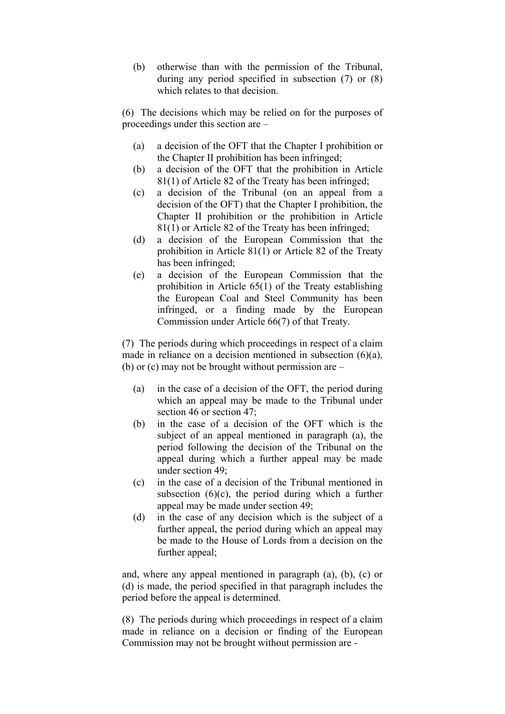(b) otherwise than with the permission of the Tribunal, during any period specified in subsection (7) or (8) which relates to that decision.

(6) The decisions which may be relied on for the purposes of proceedings under this section are –

- (a) a decision of the OFT that the Chapter I prohibition or the Chapter II prohibition has been infringed;
- (b) a decision of the OFT that the prohibition in Article 81(1) of Article 82 of the Treaty has been infringed;
- (c) a decision of the Tribunal (on an appeal from a decision of the OFT) that the Chapter I prohibition, the Chapter II prohibition or the prohibition in Article 81(1) or Article 82 of the Treaty has been infringed;
- (d) a decision of the European Commission that the prohibition in Article 81(1) or Article 82 of the Treaty has been infringed;
- (e) a decision of the European Commission that the prohibition in Article 65(1) of the Treaty establishing the European Coal and Steel Community has been infringed, or a finding made by the European Commission under Article 66(7) of that Treaty.

(7) The periods during which proceedings in respect of a claim made in reliance on a decision mentioned in subsection (6)(a), (b) or (c) may not be brought without permission are –

- (a) in the case of a decision of the OFT, the period during which an appeal may be made to the Tribunal under section 46 or section 47;
- (b) in the case of a decision of the OFT which is the subject of an appeal mentioned in paragraph (a), the period following the decision of the Tribunal on the appeal during which a further appeal may be made under section 49.
- (c) in the case of a decision of the Tribunal mentioned in subsection  $(6)(c)$ , the period during which a further appeal may be made under section 49;
- (d) in the case of any decision which is the subject of a further appeal, the period during which an appeal may be made to the House of Lords from a decision on the further appeal;

and, where any appeal mentioned in paragraph (a), (b), (c) or (d) is made, the period specified in that paragraph includes the period before the appeal is determined.

(8) The periods during which proceedings in respect of a claim made in reliance on a decision or finding of the European Commission may not be brought without permission are -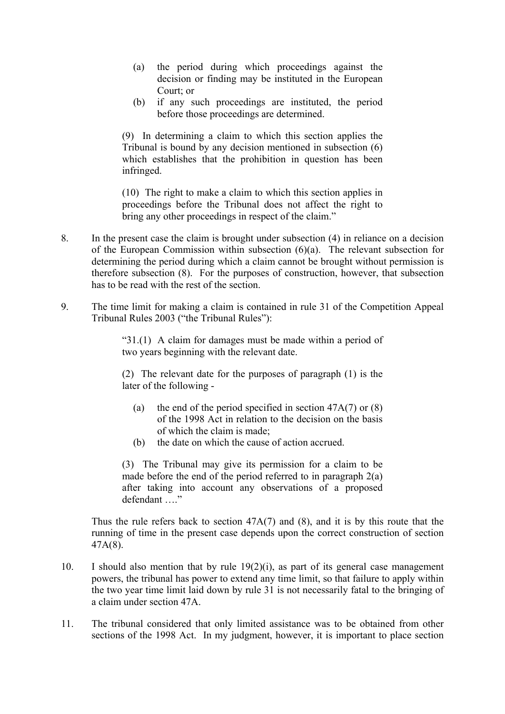- (a) the period during which proceedings against the decision or finding may be instituted in the European Court; or
- (b) if any such proceedings are instituted, the period before those proceedings are determined.

(9) In determining a claim to which this section applies the Tribunal is bound by any decision mentioned in subsection (6) which establishes that the prohibition in question has been infringed.

(10) The right to make a claim to which this section applies in proceedings before the Tribunal does not affect the right to bring any other proceedings in respect of the claim."

- 8. In the present case the claim is brought under subsection (4) in reliance on a decision of the European Commission within subsection (6)(a). The relevant subsection for determining the period during which a claim cannot be brought without permission is therefore subsection (8). For the purposes of construction, however, that subsection has to be read with the rest of the section.
- 9. The time limit for making a claim is contained in rule 31 of the Competition Appeal Tribunal Rules 2003 ("the Tribunal Rules"):

"31.(1) A claim for damages must be made within a period of two years beginning with the relevant date.

(2) The relevant date for the purposes of paragraph (1) is the later of the following -

- (a) the end of the period specified in section  $47A(7)$  or (8) of the 1998 Act in relation to the decision on the basis of which the claim is made;
- (b) the date on which the cause of action accrued.

(3) The Tribunal may give its permission for a claim to be made before the end of the period referred to in paragraph 2(a) after taking into account any observations of a proposed defendant …."

Thus the rule refers back to section 47A(7) and (8), and it is by this route that the running of time in the present case depends upon the correct construction of section 47A(8).

- 10. I should also mention that by rule 19(2)(i), as part of its general case management powers, the tribunal has power to extend any time limit, so that failure to apply within the two year time limit laid down by rule 31 is not necessarily fatal to the bringing of a claim under section 47A.
- 11. The tribunal considered that only limited assistance was to be obtained from other sections of the 1998 Act. In my judgment, however, it is important to place section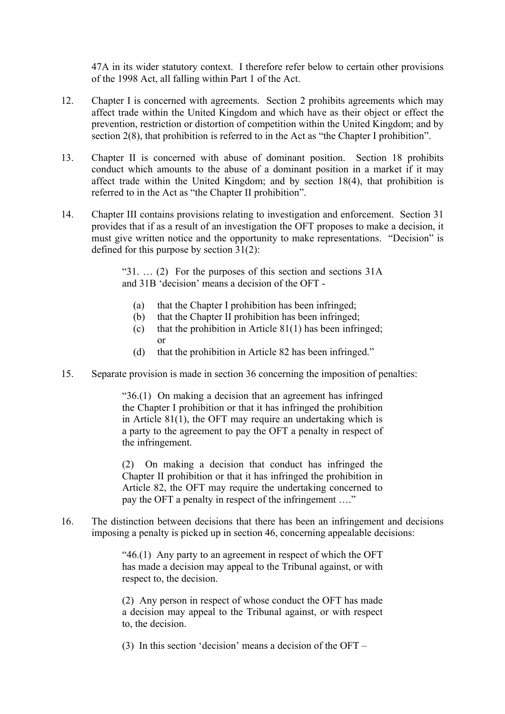47A in its wider statutory context. I therefore refer below to certain other provisions of the 1998 Act, all falling within Part 1 of the Act.

- 12. Chapter I is concerned with agreements. Section 2 prohibits agreements which may affect trade within the United Kingdom and which have as their object or effect the prevention, restriction or distortion of competition within the United Kingdom; and by section 2(8), that prohibition is referred to in the Act as "the Chapter I prohibition".
- 13. Chapter II is concerned with abuse of dominant position. Section 18 prohibits conduct which amounts to the abuse of a dominant position in a market if it may affect trade within the United Kingdom; and by section 18(4), that prohibition is referred to in the Act as "the Chapter II prohibition".
- 14. Chapter III contains provisions relating to investigation and enforcement. Section 31 provides that if as a result of an investigation the OFT proposes to make a decision, it must give written notice and the opportunity to make representations. "Decision" is defined for this purpose by section 31(2):

" $31.$  ... (2) For the purposes of this section and sections  $31A$ and 31B 'decision' means a decision of the OFT -

- (a) that the Chapter I prohibition has been infringed;
- (b) that the Chapter II prohibition has been infringed;
- (c) that the prohibition in Article  $81(1)$  has been infringed; or
- (d) that the prohibition in Article 82 has been infringed."
- 15. Separate provision is made in section 36 concerning the imposition of penalties:

"36.(1) On making a decision that an agreement has infringed the Chapter I prohibition or that it has infringed the prohibition in Article 81(1), the OFT may require an undertaking which is a party to the agreement to pay the OFT a penalty in respect of the infringement.

(2) On making a decision that conduct has infringed the Chapter II prohibition or that it has infringed the prohibition in Article 82, the OFT may require the undertaking concerned to pay the OFT a penalty in respect of the infringement ...."

16. The distinction between decisions that there has been an infringement and decisions imposing a penalty is picked up in section 46, concerning appealable decisions:

> "46.(1) Any party to an agreement in respect of which the OFT has made a decision may appeal to the Tribunal against, or with respect to, the decision.

> (2) Any person in respect of whose conduct the OFT has made a decision may appeal to the Tribunal against, or with respect to, the decision.

(3) In this section 'decision' means a decision of the OFT –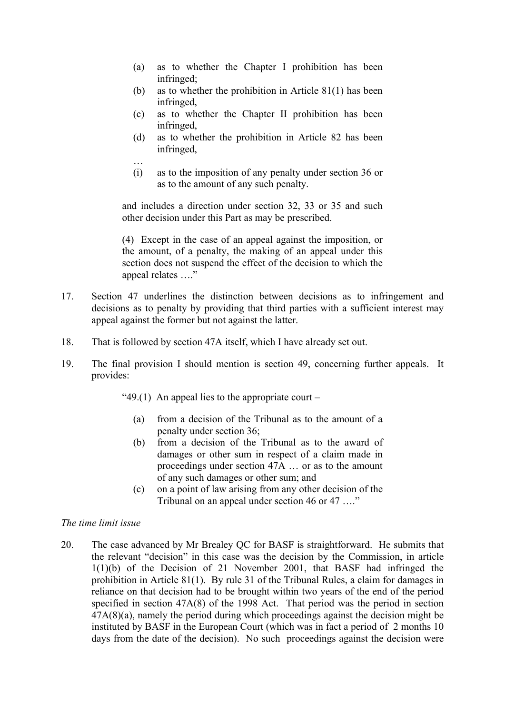- (a) as to whether the Chapter I prohibition has been infringed;
- (b) as to whether the prohibition in Article 81(1) has been infringed,
- (c) as to whether the Chapter II prohibition has been infringed,
- (d) as to whether the prohibition in Article 82 has been infringed,
- … (i) as to the imposition of any penalty under section 36 or as to the amount of any such penalty.

and includes a direction under section 32, 33 or 35 and such other decision under this Part as may be prescribed.

(4) Except in the case of an appeal against the imposition, or the amount, of a penalty, the making of an appeal under this section does not suspend the effect of the decision to which the appeal relates …."

- 17. Section 47 underlines the distinction between decisions as to infringement and decisions as to penalty by providing that third parties with a sufficient interest may appeal against the former but not against the latter.
- 18. That is followed by section 47A itself, which I have already set out.
- 19. The final provision I should mention is section 49, concerning further appeals. It provides:

"49.(1) An appeal lies to the appropriate court –

- (a) from a decision of the Tribunal as to the amount of a penalty under section 36;
- (b) from a decision of the Tribunal as to the award of damages or other sum in respect of a claim made in proceedings under section 47A … or as to the amount of any such damages or other sum; and
- (c) on a point of law arising from any other decision of the Tribunal on an appeal under section 46 or 47 ...."

#### *The time limit issue*

20. The case advanced by Mr Brealey QC for BASF is straightforward. He submits that the relevant "decision" in this case was the decision by the Commission, in article 1(1)(b) of the Decision of 21 November 2001, that BASF had infringed the prohibition in Article 81(1). By rule 31 of the Tribunal Rules, a claim for damages in reliance on that decision had to be brought within two years of the end of the period specified in section 47A(8) of the 1998 Act. That period was the period in section 47A(8)(a), namely the period during which proceedings against the decision might be instituted by BASF in the European Court (which was in fact a period of 2 months 10 days from the date of the decision). No such proceedings against the decision were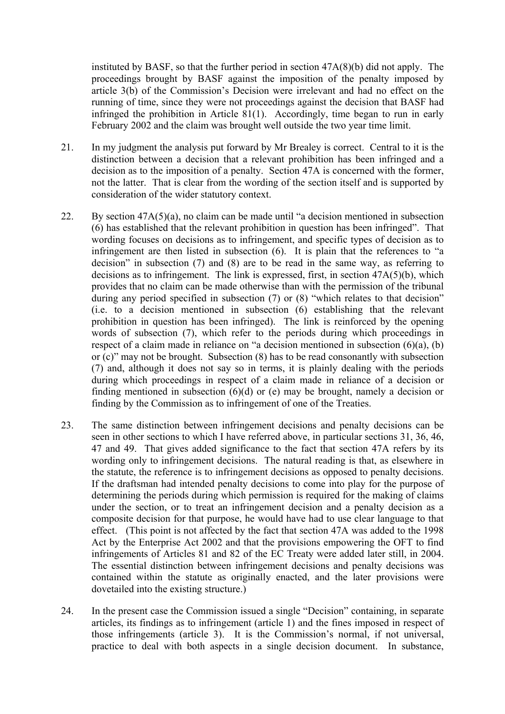instituted by BASF, so that the further period in section 47A(8)(b) did not apply. The proceedings brought by BASF against the imposition of the penalty imposed by article 3(b) of the Commission's Decision were irrelevant and had no effect on the running of time, since they were not proceedings against the decision that BASF had infringed the prohibition in Article 81(1). Accordingly, time began to run in early February 2002 and the claim was brought well outside the two year time limit.

- 21. In my judgment the analysis put forward by Mr Brealey is correct. Central to it is the distinction between a decision that a relevant prohibition has been infringed and a decision as to the imposition of a penalty. Section 47A is concerned with the former, not the latter. That is clear from the wording of the section itself and is supported by consideration of the wider statutory context.
- 22. By section 47A(5)(a), no claim can be made until "a decision mentioned in subsection (6) has established that the relevant prohibition in question has been infringed". That wording focuses on decisions as to infringement, and specific types of decision as to infringement are then listed in subsection (6). It is plain that the references to "a decision" in subsection (7) and (8) are to be read in the same way, as referring to decisions as to infringement. The link is expressed, first, in section  $47A(5)(b)$ , which provides that no claim can be made otherwise than with the permission of the tribunal during any period specified in subsection (7) or (8) "which relates to that decision" (i.e. to a decision mentioned in subsection (6) establishing that the relevant prohibition in question has been infringed). The link is reinforced by the opening words of subsection (7), which refer to the periods during which proceedings in respect of a claim made in reliance on "a decision mentioned in subsection (6)(a), (b) or (c)" may not be brought. Subsection (8) has to be read consonantly with subsection (7) and, although it does not say so in terms, it is plainly dealing with the periods during which proceedings in respect of a claim made in reliance of a decision or finding mentioned in subsection (6)(d) or (e) may be brought, namely a decision or finding by the Commission as to infringement of one of the Treaties.
- 23. The same distinction between infringement decisions and penalty decisions can be seen in other sections to which I have referred above, in particular sections 31, 36, 46, 47 and 49. That gives added significance to the fact that section 47A refers by its wording only to infringement decisions. The natural reading is that, as elsewhere in the statute, the reference is to infringement decisions as opposed to penalty decisions. If the draftsman had intended penalty decisions to come into play for the purpose of determining the periods during which permission is required for the making of claims under the section, or to treat an infringement decision and a penalty decision as a composite decision for that purpose, he would have had to use clear language to that effect. (This point is not affected by the fact that section 47A was added to the 1998 Act by the Enterprise Act 2002 and that the provisions empowering the OFT to find infringements of Articles 81 and 82 of the EC Treaty were added later still, in 2004. The essential distinction between infringement decisions and penalty decisions was contained within the statute as originally enacted, and the later provisions were dovetailed into the existing structure.)
- 24. In the present case the Commission issued a single "Decision" containing, in separate articles, its findings as to infringement (article 1) and the fines imposed in respect of those infringements (article 3). It is the Commission's normal, if not universal, practice to deal with both aspects in a single decision document. In substance,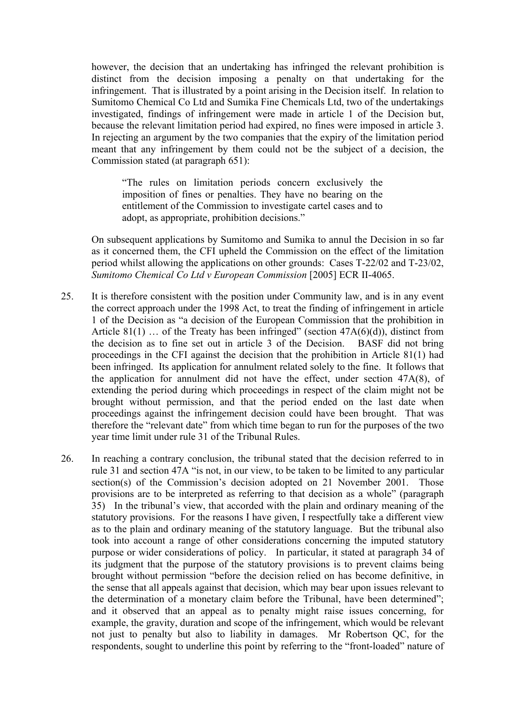however, the decision that an undertaking has infringed the relevant prohibition is distinct from the decision imposing a penalty on that undertaking for the infringement. That is illustrated by a point arising in the Decision itself. In relation to Sumitomo Chemical Co Ltd and Sumika Fine Chemicals Ltd, two of the undertakings investigated, findings of infringement were made in article 1 of the Decision but, because the relevant limitation period had expired, no fines were imposed in article 3. In rejecting an argument by the two companies that the expiry of the limitation period meant that any infringement by them could not be the subject of a decision, the Commission stated (at paragraph 651):

"The rules on limitation periods concern exclusively the imposition of fines or penalties. They have no bearing on the entitlement of the Commission to investigate cartel cases and to adopt, as appropriate, prohibition decisions."

On subsequent applications by Sumitomo and Sumika to annul the Decision in so far as it concerned them, the CFI upheld the Commission on the effect of the limitation period whilst allowing the applications on other grounds: Cases T-22/02 and T-23/02, *Sumitomo Chemical Co Ltd v European Commission* [2005] ECR II-4065.

- 25. It is therefore consistent with the position under Community law, and is in any event the correct approach under the 1998 Act, to treat the finding of infringement in article 1 of the Decision as "a decision of the European Commission that the prohibition in Article 81(1) ... of the Treaty has been infringed" (section  $47A(6)(d)$ ), distinct from the decision as to fine set out in article 3 of the Decision. BASF did not bring proceedings in the CFI against the decision that the prohibition in Article 81(1) had been infringed. Its application for annulment related solely to the fine. It follows that the application for annulment did not have the effect, under section 47A(8), of extending the period during which proceedings in respect of the claim might not be brought without permission, and that the period ended on the last date when proceedings against the infringement decision could have been brought. That was therefore the "relevant date" from which time began to run for the purposes of the two year time limit under rule 31 of the Tribunal Rules.
- 26. In reaching a contrary conclusion, the tribunal stated that the decision referred to in rule 31 and section 47A "is not, in our view, to be taken to be limited to any particular section(s) of the Commission's decision adopted on 21 November 2001. Those provisions are to be interpreted as referring to that decision as a whole" (paragraph 35) In the tribunal's view, that accorded with the plain and ordinary meaning of the statutory provisions. For the reasons I have given, I respectfully take a different view as to the plain and ordinary meaning of the statutory language. But the tribunal also took into account a range of other considerations concerning the imputed statutory purpose or wider considerations of policy. In particular, it stated at paragraph 34 of its judgment that the purpose of the statutory provisions is to prevent claims being brought without permission "before the decision relied on has become definitive, in the sense that all appeals against that decision, which may bear upon issues relevant to the determination of a monetary claim before the Tribunal, have been determined"; and it observed that an appeal as to penalty might raise issues concerning, for example, the gravity, duration and scope of the infringement, which would be relevant not just to penalty but also to liability in damages. Mr Robertson QC, for the respondents, sought to underline this point by referring to the "front-loaded" nature of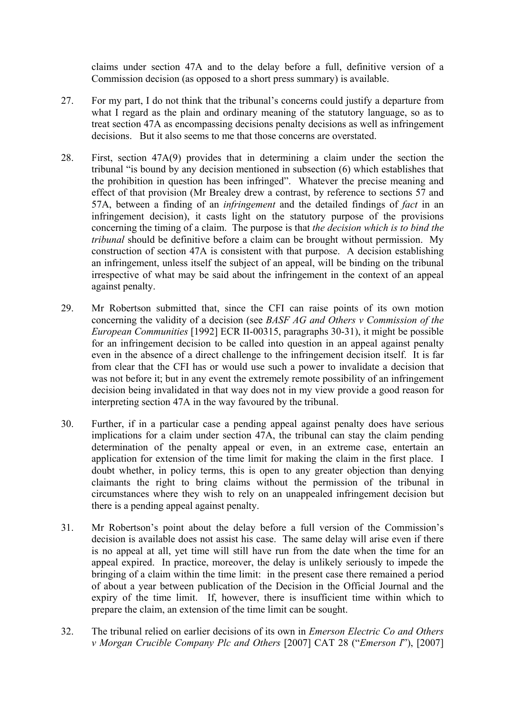claims under section 47A and to the delay before a full, definitive version of a Commission decision (as opposed to a short press summary) is available.

- 27. For my part, I do not think that the tribunal's concerns could justify a departure from what I regard as the plain and ordinary meaning of the statutory language, so as to treat section 47A as encompassing decisions penalty decisions as well as infringement decisions But it also seems to me that those concerns are overstated.
- 28. First, section 47A(9) provides that in determining a claim under the section the tribunal "is bound by any decision mentioned in subsection (6) which establishes that the prohibition in question has been infringed". Whatever the precise meaning and effect of that provision (Mr Brealey drew a contrast, by reference to sections 57 and 57A, between a finding of an *infringement* and the detailed findings of *fact* in an infringement decision), it casts light on the statutory purpose of the provisions concerning the timing of a claim. The purpose is that *the decision which is to bind the tribunal* should be definitive before a claim can be brought without permission. My construction of section 47A is consistent with that purpose. A decision establishing an infringement, unless itself the subject of an appeal, will be binding on the tribunal irrespective of what may be said about the infringement in the context of an appeal against penalty.
- 29. Mr Robertson submitted that, since the CFI can raise points of its own motion concerning the validity of a decision (see *BASF AG and Others v Commission of the European Communities* [1992] ECR II-00315, paragraphs 30-31), it might be possible for an infringement decision to be called into question in an appeal against penalty even in the absence of a direct challenge to the infringement decision itself. It is far from clear that the CFI has or would use such a power to invalidate a decision that was not before it; but in any event the extremely remote possibility of an infringement decision being invalidated in that way does not in my view provide a good reason for interpreting section 47A in the way favoured by the tribunal.
- 30. Further, if in a particular case a pending appeal against penalty does have serious implications for a claim under section 47A, the tribunal can stay the claim pending determination of the penalty appeal or even, in an extreme case, entertain an application for extension of the time limit for making the claim in the first place. I doubt whether, in policy terms, this is open to any greater objection than denying claimants the right to bring claims without the permission of the tribunal in circumstances where they wish to rely on an unappealed infringement decision but there is a pending appeal against penalty.
- 31. Mr Robertson's point about the delay before a full version of the Commission's decision is available does not assist his case. The same delay will arise even if there is no appeal at all, yet time will still have run from the date when the time for an appeal expired. In practice, moreover, the delay is unlikely seriously to impede the bringing of a claim within the time limit: in the present case there remained a period of about a year between publication of the Decision in the Official Journal and the expiry of the time limit. If, however, there is insufficient time within which to prepare the claim, an extension of the time limit can be sought.
- 32. The tribunal relied on earlier decisions of its own in *Emerson Electric Co and Others v Morgan Crucible Company Plc and Others* [2007] CAT 28 ("*Emerson I*"), [2007]